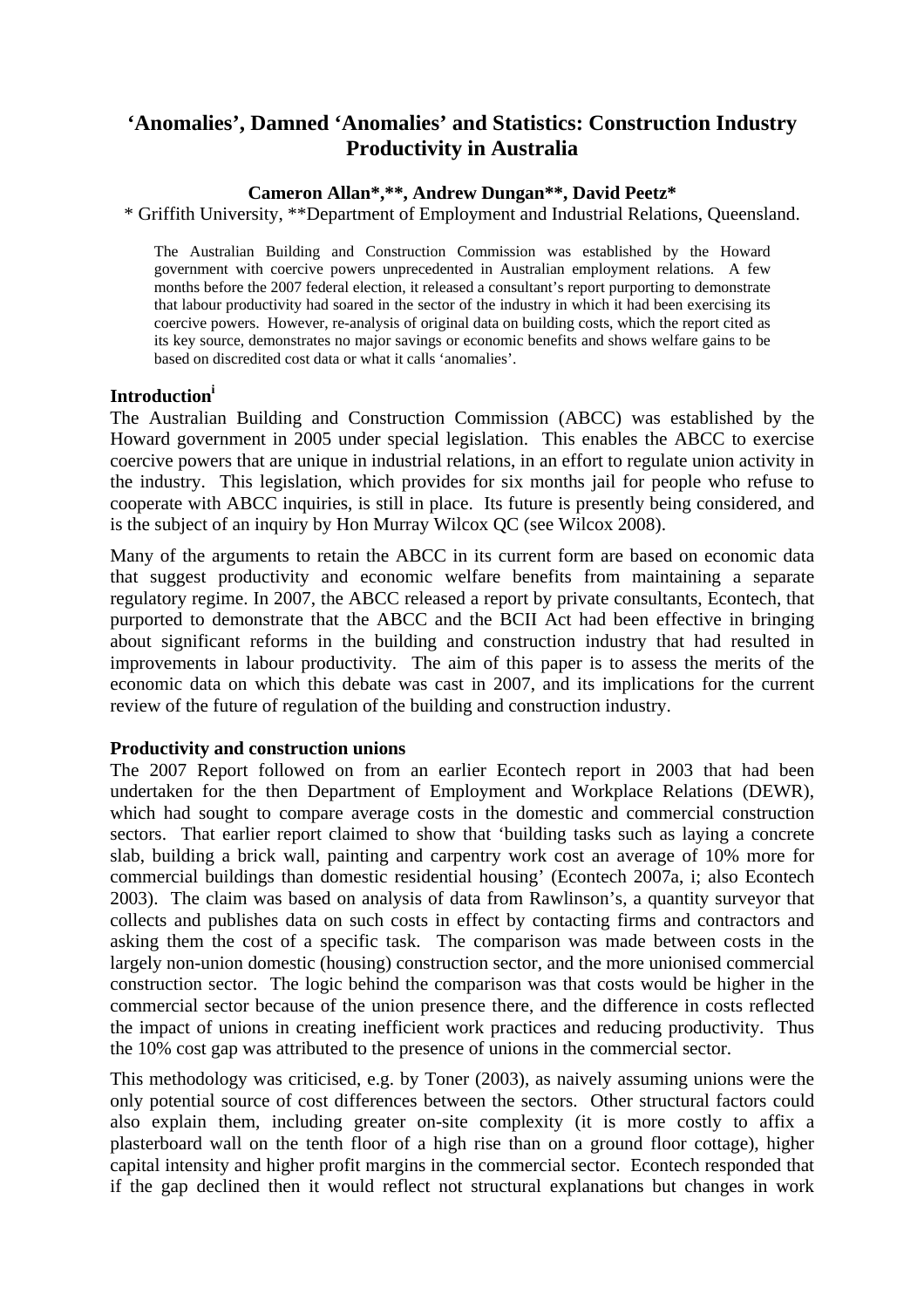# **'Anomalies', Damned 'Anomalies' and Statistics: Construction Industry Productivity in Australia**

# **Cameron Allan\*,\*\*, Andrew Dungan\*\*, David Peetz\***

\* Griffith University, \*\*Department of Employment and Industrial Relations, Queensland.

The Australian Building and Construction Commission was established by the Howard government with coercive powers unprecedented in Australian employment relations. A few months before the 2007 federal election, it released a consultant's report purporting to demonstrate that labour productivity had soared in the sector of the industry in which it had been exercising its coercive powers. However, re-analysis of original data on building costs, which the report cited as its key source, demonstrates no major savings or economic benefits and shows welfare gains to be based on discredited cost data or what it calls 'anomalies'.

#### **Introductioni**

The Australian Building and Construction Commission (ABCC) was established by the Howard government in 2005 under special legislation. This enables the ABCC to exercise coercive powers that are unique in industrial relations, in an effort to regulate union activity in the industry. This legislation, which provides for six months jail for people who refuse to cooperate with ABCC inquiries, is still in place. Its future is presently being considered, and is the subject of an inquiry by Hon Murray Wilcox QC (see Wilcox 2008).

Many of the arguments to retain the ABCC in its current form are based on economic data that suggest productivity and economic welfare benefits from maintaining a separate regulatory regime. In 2007, the ABCC released a report by private consultants, Econtech, that purported to demonstrate that the ABCC and the BCII Act had been effective in bringing about significant reforms in the building and construction industry that had resulted in improvements in labour productivity. The aim of this paper is to assess the merits of the economic data on which this debate was cast in 2007, and its implications for the current review of the future of regulation of the building and construction industry.

#### **Productivity and construction unions**

The 2007 Report followed on from an earlier Econtech report in 2003 that had been undertaken for the then Department of Employment and Workplace Relations (DEWR), which had sought to compare average costs in the domestic and commercial construction sectors. That earlier report claimed to show that 'building tasks such as laying a concrete slab, building a brick wall, painting and carpentry work cost an average of 10% more for commercial buildings than domestic residential housing' (Econtech 2007a, i; also Econtech 2003). The claim was based on analysis of data from Rawlinson's, a quantity surveyor that collects and publishes data on such costs in effect by contacting firms and contractors and asking them the cost of a specific task. The comparison was made between costs in the largely non-union domestic (housing) construction sector, and the more unionised commercial construction sector. The logic behind the comparison was that costs would be higher in the commercial sector because of the union presence there, and the difference in costs reflected the impact of unions in creating inefficient work practices and reducing productivity. Thus the 10% cost gap was attributed to the presence of unions in the commercial sector.

This methodology was criticised, e.g. by Toner (2003), as naively assuming unions were the only potential source of cost differences between the sectors. Other structural factors could also explain them, including greater on-site complexity (it is more costly to affix a plasterboard wall on the tenth floor of a high rise than on a ground floor cottage), higher capital intensity and higher profit margins in the commercial sector. Econtech responded that if the gap declined then it would reflect not structural explanations but changes in work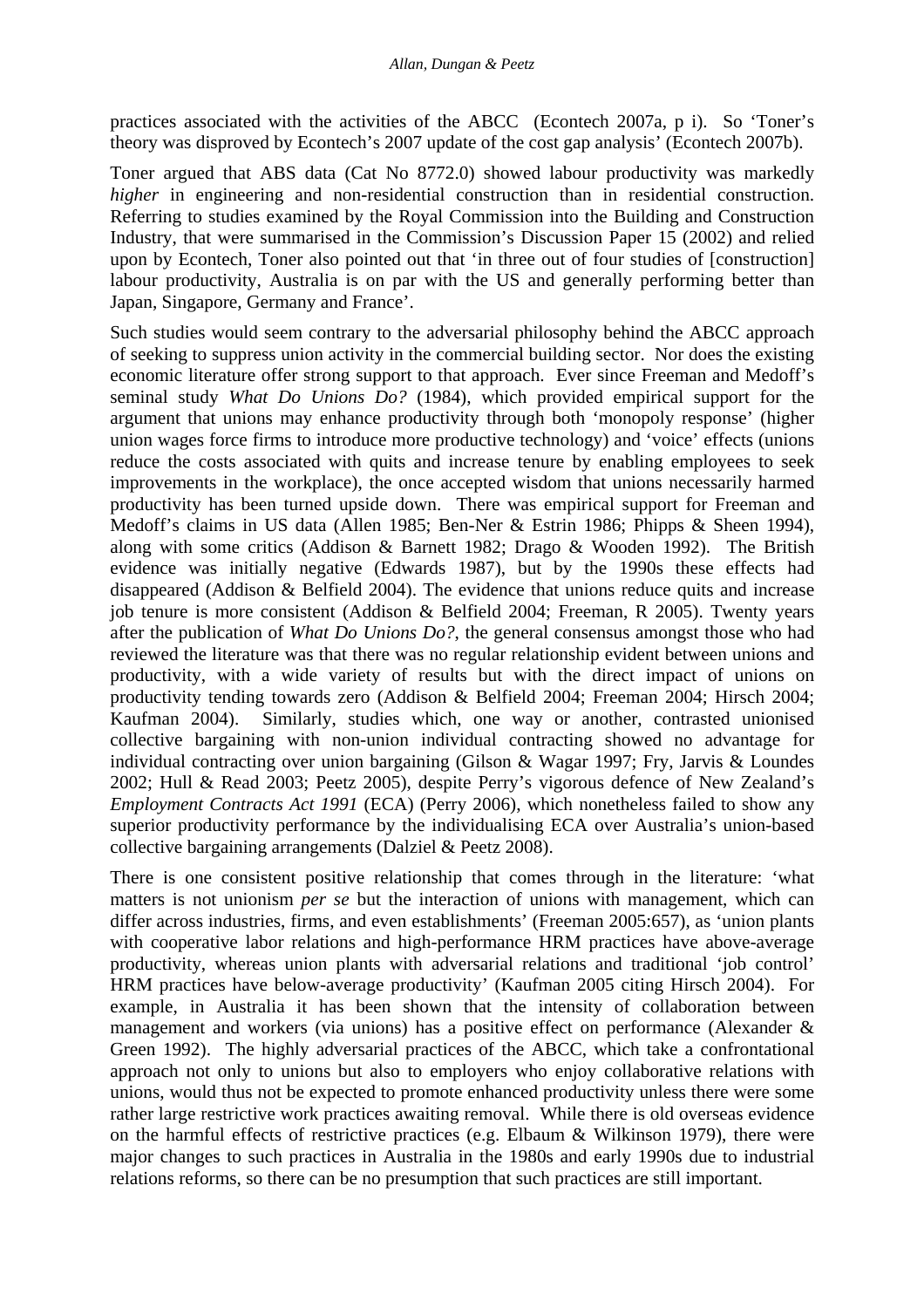practices associated with the activities of the ABCC (Econtech 2007a, p i). So 'Toner's theory was disproved by Econtech's 2007 update of the cost gap analysis' (Econtech 2007b).

Toner argued that ABS data (Cat No 8772.0) showed labour productivity was markedly *higher* in engineering and non-residential construction than in residential construction. Referring to studies examined by the Royal Commission into the Building and Construction Industry, that were summarised in the Commission's Discussion Paper 15 (2002) and relied upon by Econtech, Toner also pointed out that 'in three out of four studies of [construction] labour productivity, Australia is on par with the US and generally performing better than Japan, Singapore, Germany and France'.

Such studies would seem contrary to the adversarial philosophy behind the ABCC approach of seeking to suppress union activity in the commercial building sector. Nor does the existing economic literature offer strong support to that approach. Ever since Freeman and Medoff's seminal study *What Do Unions Do?* (1984), which provided empirical support for the argument that unions may enhance productivity through both 'monopoly response' (higher union wages force firms to introduce more productive technology) and 'voice' effects (unions reduce the costs associated with quits and increase tenure by enabling employees to seek improvements in the workplace), the once accepted wisdom that unions necessarily harmed productivity has been turned upside down. There was empirical support for Freeman and Medoff's claims in US data (Allen 1985; Ben-Ner & Estrin 1986; Phipps & Sheen 1994), along with some critics (Addison & Barnett 1982; Drago & Wooden 1992). The British evidence was initially negative (Edwards 1987), but by the 1990s these effects had disappeared (Addison & Belfield 2004). The evidence that unions reduce quits and increase job tenure is more consistent (Addison & Belfield 2004; Freeman, R 2005). Twenty years after the publication of *What Do Unions Do?*, the general consensus amongst those who had reviewed the literature was that there was no regular relationship evident between unions and productivity, with a wide variety of results but with the direct impact of unions on productivity tending towards zero (Addison & Belfield 2004; Freeman 2004; Hirsch 2004; Kaufman 2004). Similarly, studies which, one way or another, contrasted unionised collective bargaining with non-union individual contracting showed no advantage for individual contracting over union bargaining (Gilson & Wagar 1997; Fry, Jarvis & Loundes 2002; Hull & Read 2003; Peetz 2005), despite Perry's vigorous defence of New Zealand's *Employment Contracts Act 1991* (ECA) (Perry 2006), which nonetheless failed to show any superior productivity performance by the individualising ECA over Australia's union-based collective bargaining arrangements (Dalziel & Peetz 2008).

There is one consistent positive relationship that comes through in the literature: 'what matters is not unionism *per se* but the interaction of unions with management, which can differ across industries, firms, and even establishments' (Freeman 2005:657), as 'union plants with cooperative labor relations and high-performance HRM practices have above-average productivity, whereas union plants with adversarial relations and traditional 'job control' HRM practices have below-average productivity' (Kaufman 2005 citing Hirsch 2004). For example, in Australia it has been shown that the intensity of collaboration between management and workers (via unions) has a positive effect on performance (Alexander & Green 1992). The highly adversarial practices of the ABCC, which take a confrontational approach not only to unions but also to employers who enjoy collaborative relations with unions, would thus not be expected to promote enhanced productivity unless there were some rather large restrictive work practices awaiting removal. While there is old overseas evidence on the harmful effects of restrictive practices (e.g. Elbaum & Wilkinson 1979), there were major changes to such practices in Australia in the 1980s and early 1990s due to industrial relations reforms, so there can be no presumption that such practices are still important.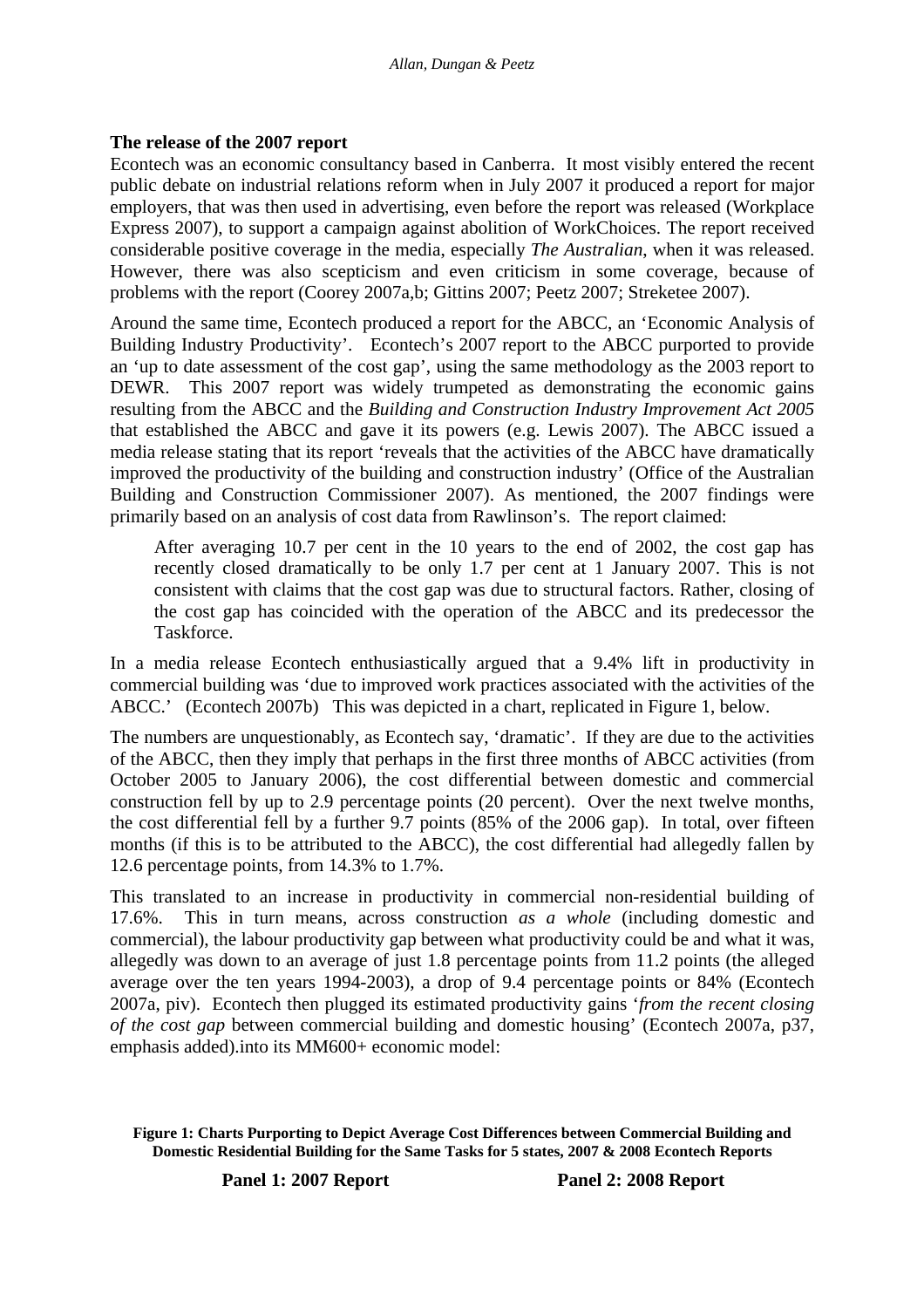# **The release of the 2007 report**

Econtech was an economic consultancy based in Canberra. It most visibly entered the recent public debate on industrial relations reform when in July 2007 it produced a report for major employers, that was then used in advertising, even before the report was released (Workplace Express 2007), to support a campaign against abolition of WorkChoices. The report received considerable positive coverage in the media, especially *The Australian*, when it was released. However, there was also scepticism and even criticism in some coverage, because of problems with the report (Coorey 2007a,b; Gittins 2007; Peetz 2007; Streketee 2007).

Around the same time, Econtech produced a report for the ABCC, an 'Economic Analysis of Building Industry Productivity'. Econtech's 2007 report to the ABCC purported to provide an 'up to date assessment of the cost gap', using the same methodology as the 2003 report to DEWR. This 2007 report was widely trumpeted as demonstrating the economic gains resulting from the ABCC and the *Building and Construction Industry Improvement Act 2005* that established the ABCC and gave it its powers (e.g. Lewis 2007). The ABCC issued a media release stating that its report 'reveals that the activities of the ABCC have dramatically improved the productivity of the building and construction industry' (Office of the Australian Building and Construction Commissioner 2007). As mentioned, the 2007 findings were primarily based on an analysis of cost data from Rawlinson's. The report claimed:

After averaging 10.7 per cent in the 10 years to the end of 2002, the cost gap has recently closed dramatically to be only 1.7 per cent at 1 January 2007. This is not consistent with claims that the cost gap was due to structural factors. Rather, closing of the cost gap has coincided with the operation of the ABCC and its predecessor the Taskforce.

In a media release Econtech enthusiastically argued that a 9.4% lift in productivity in commercial building was 'due to improved work practices associated with the activities of the ABCC.' (Econtech 2007b) This was depicted in a chart, replicated in Figure 1, below.

The numbers are unquestionably, as Econtech say, 'dramatic'. If they are due to the activities of the ABCC, then they imply that perhaps in the first three months of ABCC activities (from October 2005 to January 2006), the cost differential between domestic and commercial construction fell by up to 2.9 percentage points (20 percent). Over the next twelve months, the cost differential fell by a further 9.7 points (85% of the 2006 gap). In total, over fifteen months (if this is to be attributed to the ABCC), the cost differential had allegedly fallen by 12.6 percentage points, from 14.3% to 1.7%.

This translated to an increase in productivity in commercial non-residential building of 17.6%. This in turn means, across construction *as a whole* (including domestic and commercial), the labour productivity gap between what productivity could be and what it was, allegedly was down to an average of just 1.8 percentage points from 11.2 points (the alleged average over the ten years 1994-2003), a drop of 9.4 percentage points or 84% (Econtech 2007a, piv). Econtech then plugged its estimated productivity gains '*from the recent closing of the cost gap* between commercial building and domestic housing' (Econtech 2007a, p37, emphasis added).into its MM600+ economic model:

**Figure 1: Charts Purporting to Depict Average Cost Differences between Commercial Building and Domestic Residential Building for the Same Tasks for 5 states, 2007 & 2008 Econtech Reports**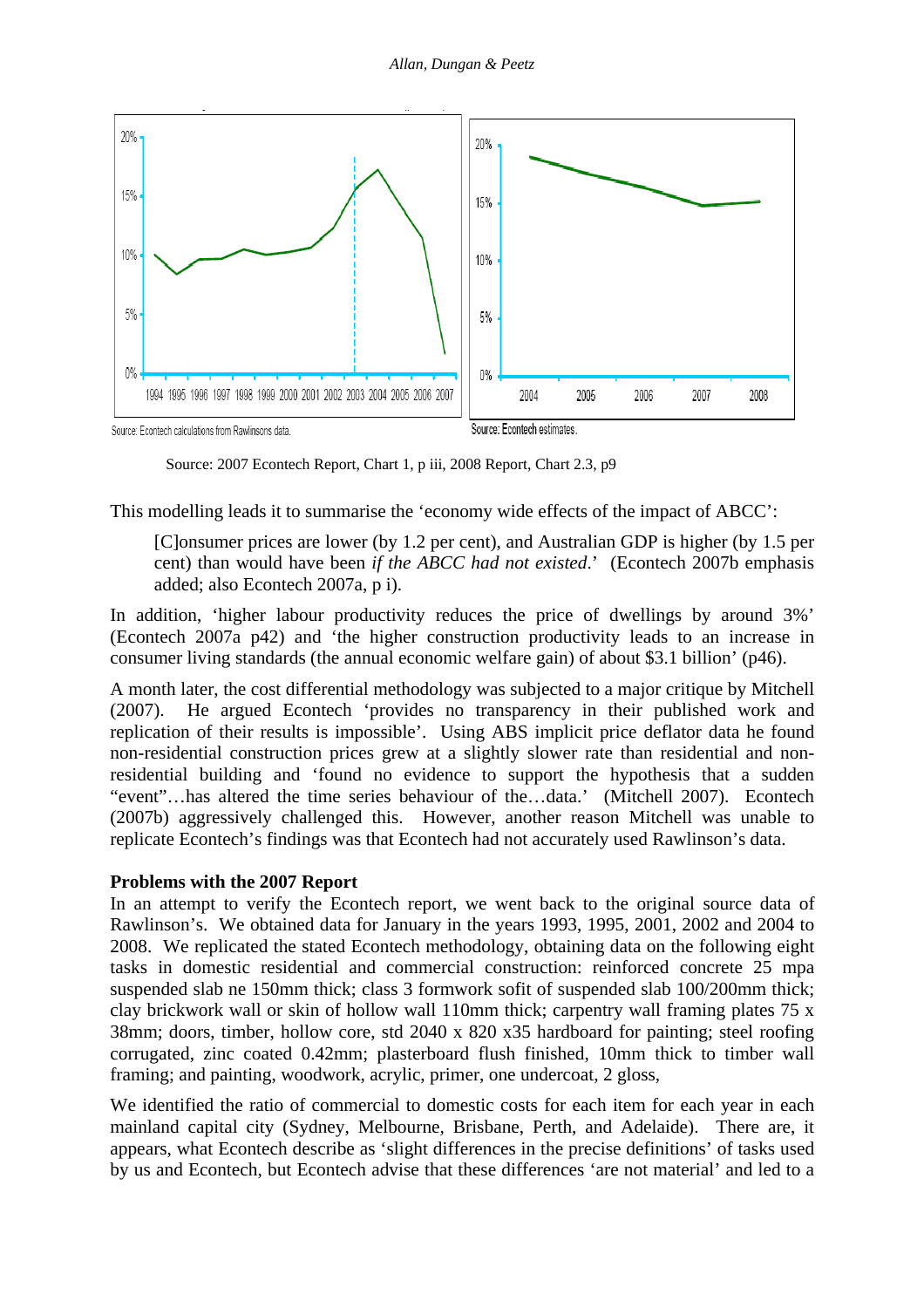

Source: 2007 Econtech Report, Chart 1, p iii, 2008 Report, Chart 2.3, p9

This modelling leads it to summarise the 'economy wide effects of the impact of ABCC':

[C]onsumer prices are lower (by 1.2 per cent), and Australian GDP is higher (by 1.5 per cent) than would have been *if the ABCC had not existed*.' (Econtech 2007b emphasis added; also Econtech 2007a, p i).

In addition, 'higher labour productivity reduces the price of dwellings by around 3%' (Econtech 2007a p42) and 'the higher construction productivity leads to an increase in consumer living standards (the annual economic welfare gain) of about \$3.1 billion' (p46).

A month later, the cost differential methodology was subjected to a major critique by Mitchell (2007). He argued Econtech 'provides no transparency in their published work and replication of their results is impossible'. Using ABS implicit price deflator data he found non-residential construction prices grew at a slightly slower rate than residential and nonresidential building and 'found no evidence to support the hypothesis that a sudden "event"…has altered the time series behaviour of the…data.' (Mitchell 2007). Econtech (2007b) aggressively challenged this. However, another reason Mitchell was unable to replicate Econtech's findings was that Econtech had not accurately used Rawlinson's data.

# **Problems with the 2007 Report**

In an attempt to verify the Econtech report, we went back to the original source data of Rawlinson's. We obtained data for January in the years 1993, 1995, 2001, 2002 and 2004 to 2008. We replicated the stated Econtech methodology, obtaining data on the following eight tasks in domestic residential and commercial construction: reinforced concrete 25 mpa suspended slab ne 150mm thick; class 3 formwork sofit of suspended slab 100/200mm thick; clay brickwork wall or skin of hollow wall 110mm thick; carpentry wall framing plates 75 x 38mm; doors, timber, hollow core, std 2040 x 820 x35 hardboard for painting; steel roofing corrugated, zinc coated 0.42mm; plasterboard flush finished, 10mm thick to timber wall framing; and painting, woodwork, acrylic, primer, one undercoat, 2 gloss,

We identified the ratio of commercial to domestic costs for each item for each year in each mainland capital city (Sydney, Melbourne, Brisbane, Perth, and Adelaide). There are, it appears, what Econtech describe as 'slight differences in the precise definitions' of tasks used by us and Econtech, but Econtech advise that these differences 'are not material' and led to a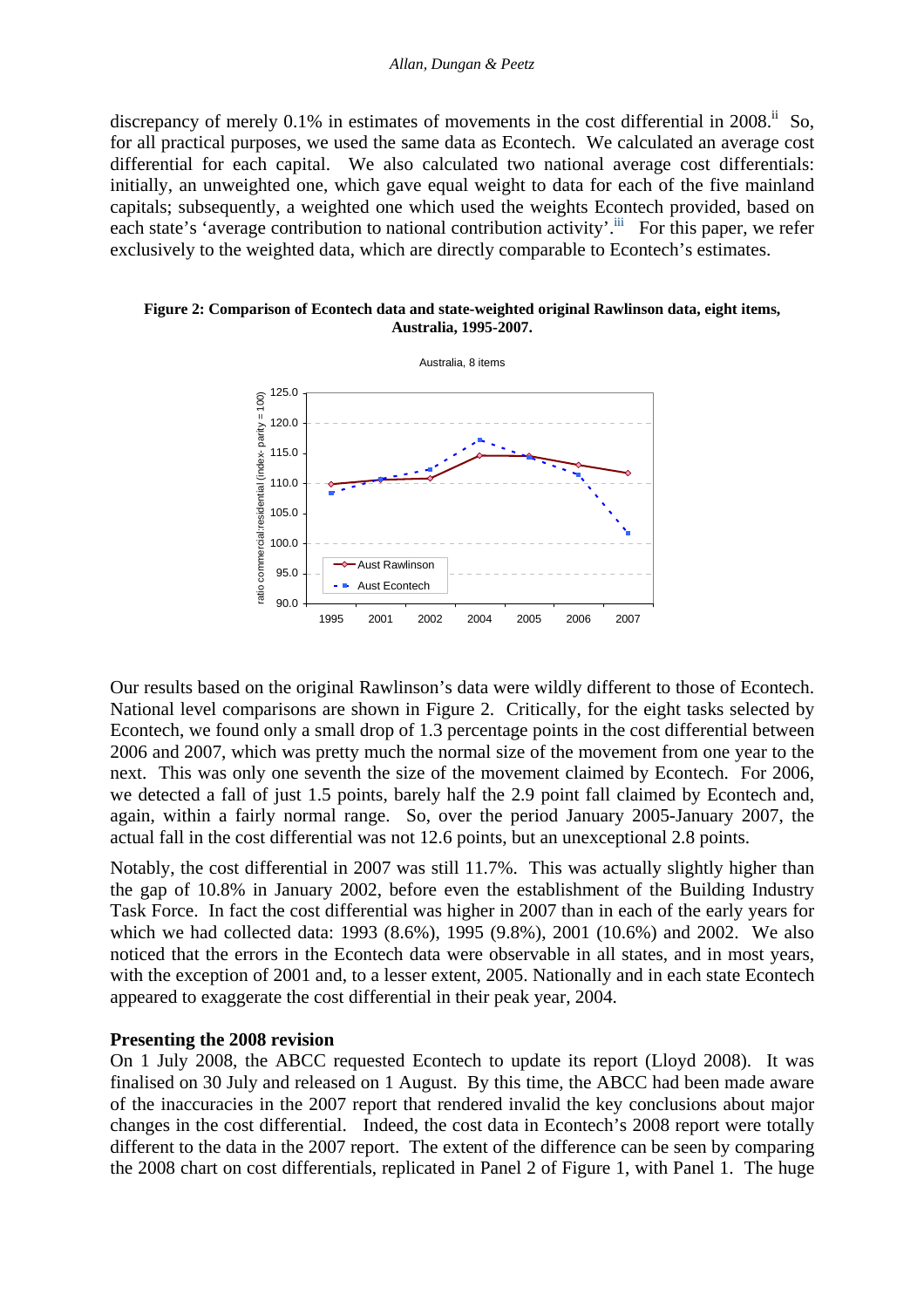discrepancy of merely  $0.1\%$  in estimates of movements in the cost differential in 2008.<sup>ii</sup> So, for all practical purposes, we used the same data as Econtech. We calculated an average cost differential for each capital. We also calculated two national average cost differentials: initially, an unweighted one, which gave equal weight to data for each of the five mainland capitals; subsequently, a weighted one which used the weights Econtech provided, based on each state's 'average contribution to national contribution activity'.<sup>iii</sup> For this paper, we refer exclusively to the weighted data, which are directly comparable to Econtech's estimates.

**Figure 2: Comparison of Econtech data and state-weighted original Rawlinson data, eight items, Australia, 1995-2007.** 



Our results based on the original Rawlinson's data were wildly different to those of Econtech. National level comparisons are shown in Figure 2. Critically, for the eight tasks selected by Econtech, we found only a small drop of 1.3 percentage points in the cost differential between 2006 and 2007, which was pretty much the normal size of the movement from one year to the next. This was only one seventh the size of the movement claimed by Econtech. For 2006, we detected a fall of just 1.5 points, barely half the 2.9 point fall claimed by Econtech and, again, within a fairly normal range. So, over the period January 2005-January 2007, the actual fall in the cost differential was not 12.6 points, but an unexceptional 2.8 points.

Notably, the cost differential in 2007 was still 11.7%. This was actually slightly higher than the gap of 10.8% in January 2002, before even the establishment of the Building Industry Task Force. In fact the cost differential was higher in 2007 than in each of the early years for which we had collected data: 1993 (8.6%), 1995 (9.8%), 2001 (10.6%) and 2002. We also noticed that the errors in the Econtech data were observable in all states, and in most years, with the exception of 2001 and, to a lesser extent, 2005. Nationally and in each state Econtech appeared to exaggerate the cost differential in their peak year, 2004.

# **Presenting the 2008 revision**

On 1 July 2008, the ABCC requested Econtech to update its report (Lloyd 2008). It was finalised on 30 July and released on 1 August. By this time, the ABCC had been made aware of the inaccuracies in the 2007 report that rendered invalid the key conclusions about major changes in the cost differential. Indeed, the cost data in Econtech's 2008 report were totally different to the data in the 2007 report. The extent of the difference can be seen by comparing the 2008 chart on cost differentials, replicated in Panel 2 of Figure 1, with Panel 1. The huge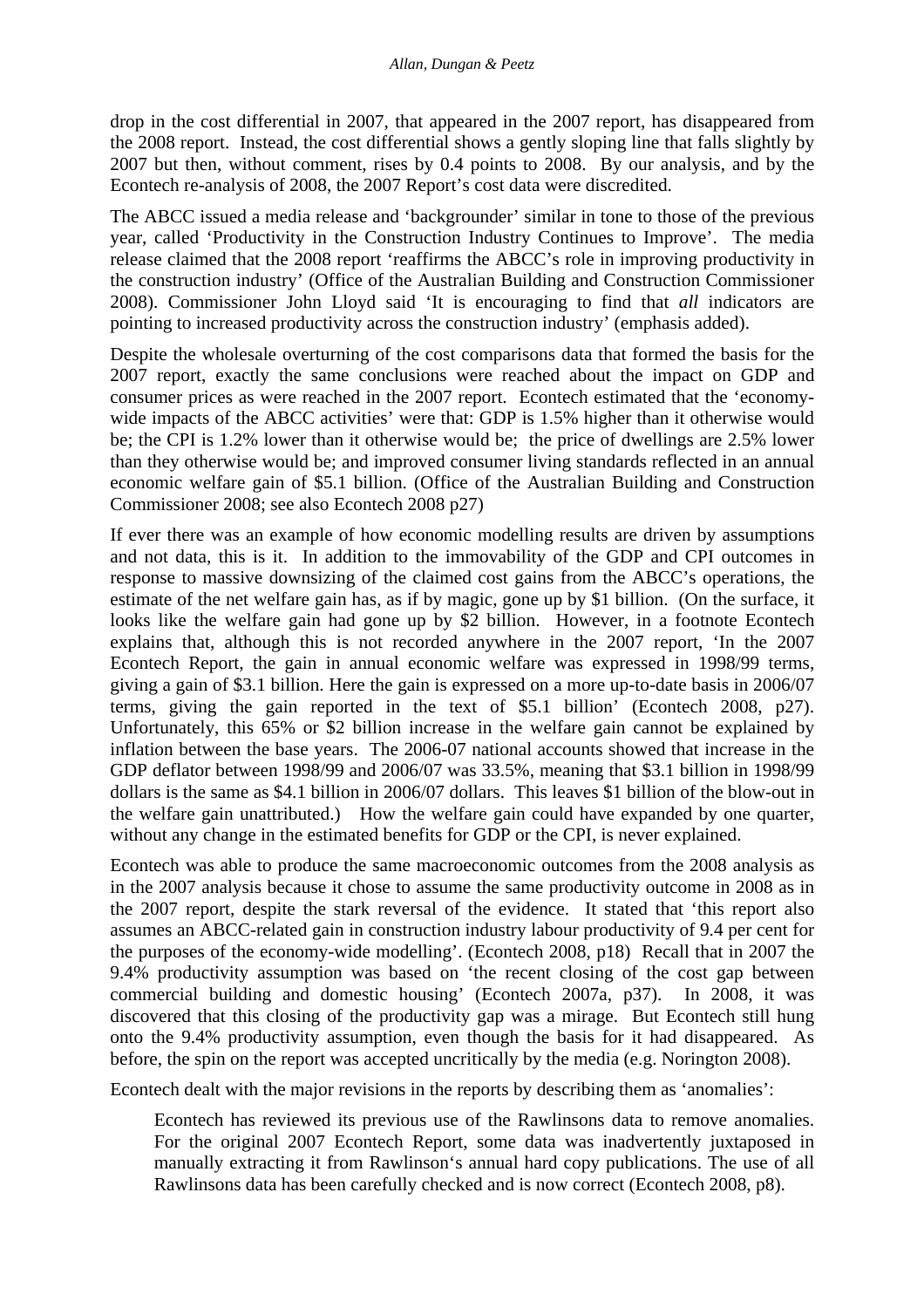drop in the cost differential in 2007, that appeared in the 2007 report, has disappeared from the 2008 report. Instead, the cost differential shows a gently sloping line that falls slightly by 2007 but then, without comment, rises by 0.4 points to 2008. By our analysis, and by the Econtech re-analysis of 2008, the 2007 Report's cost data were discredited.

The ABCC issued a media release and 'backgrounder' similar in tone to those of the previous year, called 'Productivity in the Construction Industry Continues to Improve'. The media release claimed that the 2008 report 'reaffirms the ABCC's role in improving productivity in the construction industry' (Office of the Australian Building and Construction Commissioner 2008). Commissioner John Lloyd said 'It is encouraging to find that *all* indicators are pointing to increased productivity across the construction industry' (emphasis added).

Despite the wholesale overturning of the cost comparisons data that formed the basis for the 2007 report, exactly the same conclusions were reached about the impact on GDP and consumer prices as were reached in the 2007 report. Econtech estimated that the 'economywide impacts of the ABCC activities' were that: GDP is 1.5% higher than it otherwise would be; the CPI is 1.2% lower than it otherwise would be; the price of dwellings are 2.5% lower than they otherwise would be; and improved consumer living standards reflected in an annual economic welfare gain of \$5.1 billion. (Office of the Australian Building and Construction Commissioner 2008; see also Econtech 2008 p27)

If ever there was an example of how economic modelling results are driven by assumptions and not data, this is it. In addition to the immovability of the GDP and CPI outcomes in response to massive downsizing of the claimed cost gains from the ABCC's operations, the estimate of the net welfare gain has, as if by magic, gone up by \$1 billion. (On the surface, it looks like the welfare gain had gone up by \$2 billion. However, in a footnote Econtech explains that, although this is not recorded anywhere in the 2007 report, 'In the 2007 Econtech Report, the gain in annual economic welfare was expressed in 1998/99 terms, giving a gain of \$3.1 billion. Here the gain is expressed on a more up-to-date basis in 2006/07 terms, giving the gain reported in the text of \$5.1 billion' (Econtech 2008, p27). Unfortunately, this 65% or \$2 billion increase in the welfare gain cannot be explained by inflation between the base years. The 2006-07 national accounts showed that increase in the GDP deflator between 1998/99 and 2006/07 was 33.5%, meaning that \$3.1 billion in 1998/99 dollars is the same as \$4.1 billion in 2006/07 dollars. This leaves \$1 billion of the blow-out in the welfare gain unattributed.) How the welfare gain could have expanded by one quarter, without any change in the estimated benefits for GDP or the CPI, is never explained.

Econtech was able to produce the same macroeconomic outcomes from the 2008 analysis as in the 2007 analysis because it chose to assume the same productivity outcome in 2008 as in the 2007 report, despite the stark reversal of the evidence. It stated that 'this report also assumes an ABCC-related gain in construction industry labour productivity of 9.4 per cent for the purposes of the economy-wide modelling'. (Econtech 2008, p18) Recall that in 2007 the 9.4% productivity assumption was based on 'the recent closing of the cost gap between commercial building and domestic housing' (Econtech 2007a, p37). In 2008, it was discovered that this closing of the productivity gap was a mirage. But Econtech still hung onto the 9.4% productivity assumption, even though the basis for it had disappeared. As before, the spin on the report was accepted uncritically by the media (e.g. Norington 2008).

Econtech dealt with the major revisions in the reports by describing them as 'anomalies':

Econtech has reviewed its previous use of the Rawlinsons data to remove anomalies. For the original 2007 Econtech Report, some data was inadvertently juxtaposed in manually extracting it from Rawlinson's annual hard copy publications. The use of all Rawlinsons data has been carefully checked and is now correct (Econtech 2008, p8).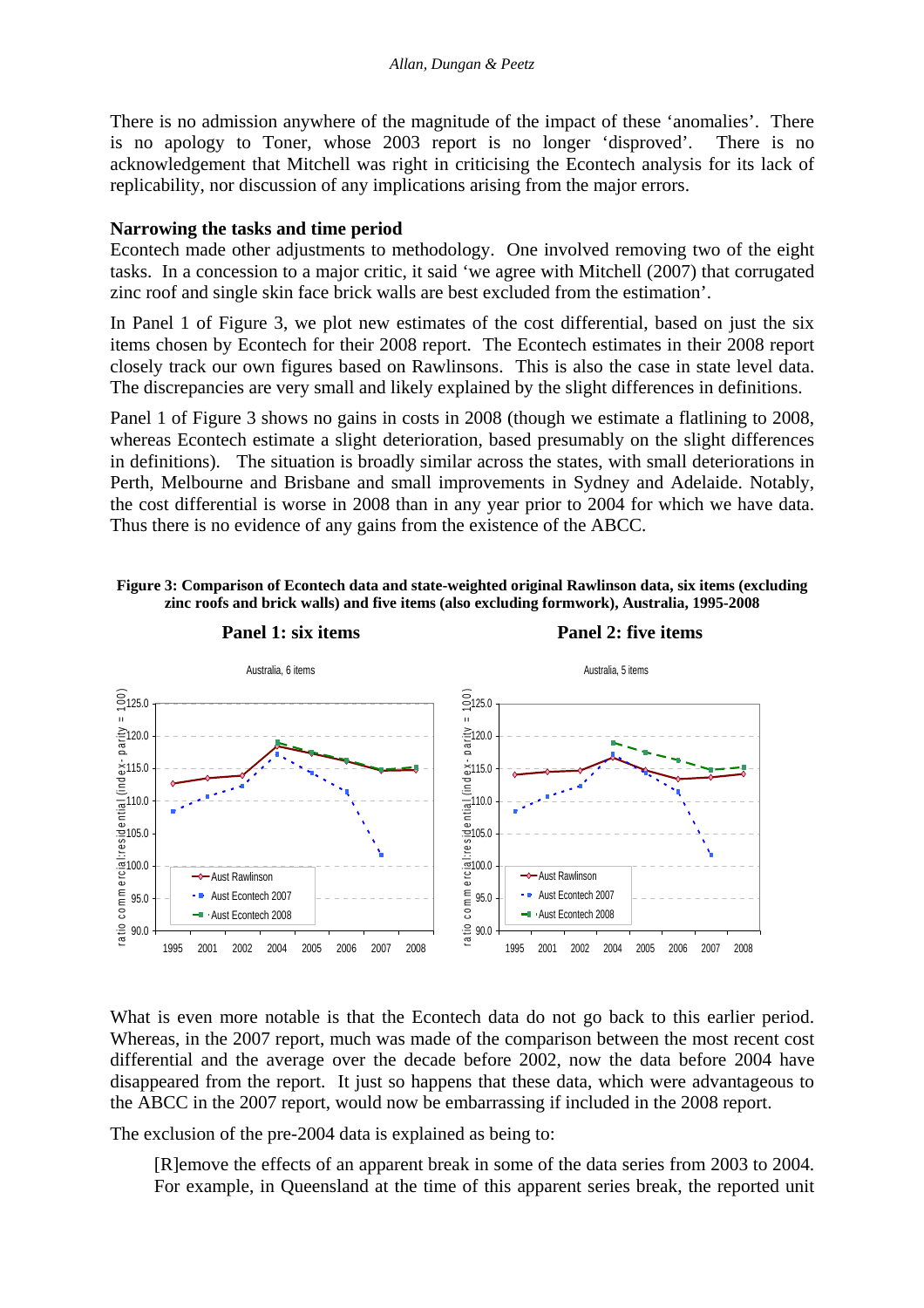There is no admission anywhere of the magnitude of the impact of these 'anomalies'. There is no apology to Toner, whose 2003 report is no longer 'disproved'. There is no acknowledgement that Mitchell was right in criticising the Econtech analysis for its lack of replicability, nor discussion of any implications arising from the major errors.

#### **Narrowing the tasks and time period**

Econtech made other adjustments to methodology. One involved removing two of the eight tasks. In a concession to a major critic, it said 'we agree with Mitchell (2007) that corrugated zinc roof and single skin face brick walls are best excluded from the estimation'.

In Panel 1 of Figure 3, we plot new estimates of the cost differential, based on just the six items chosen by Econtech for their 2008 report. The Econtech estimates in their 2008 report closely track our own figures based on Rawlinsons. This is also the case in state level data. The discrepancies are very small and likely explained by the slight differences in definitions.

Panel 1 of Figure 3 shows no gains in costs in 2008 (though we estimate a flatlining to 2008, whereas Econtech estimate a slight deterioration, based presumably on the slight differences in definitions). The situation is broadly similar across the states, with small deteriorations in Perth, Melbourne and Brisbane and small improvements in Sydney and Adelaide. Notably, the cost differential is worse in 2008 than in any year prior to 2004 for which we have data. Thus there is no evidence of any gains from the existence of the ABCC.





What is even more notable is that the Econtech data do not go back to this earlier period. Whereas, in the 2007 report, much was made of the comparison between the most recent cost differential and the average over the decade before 2002, now the data before 2004 have disappeared from the report. It just so happens that these data, which were advantageous to the ABCC in the 2007 report, would now be embarrassing if included in the 2008 report.

The exclusion of the pre-2004 data is explained as being to:

[R]emove the effects of an apparent break in some of the data series from 2003 to 2004. For example, in Queensland at the time of this apparent series break, the reported unit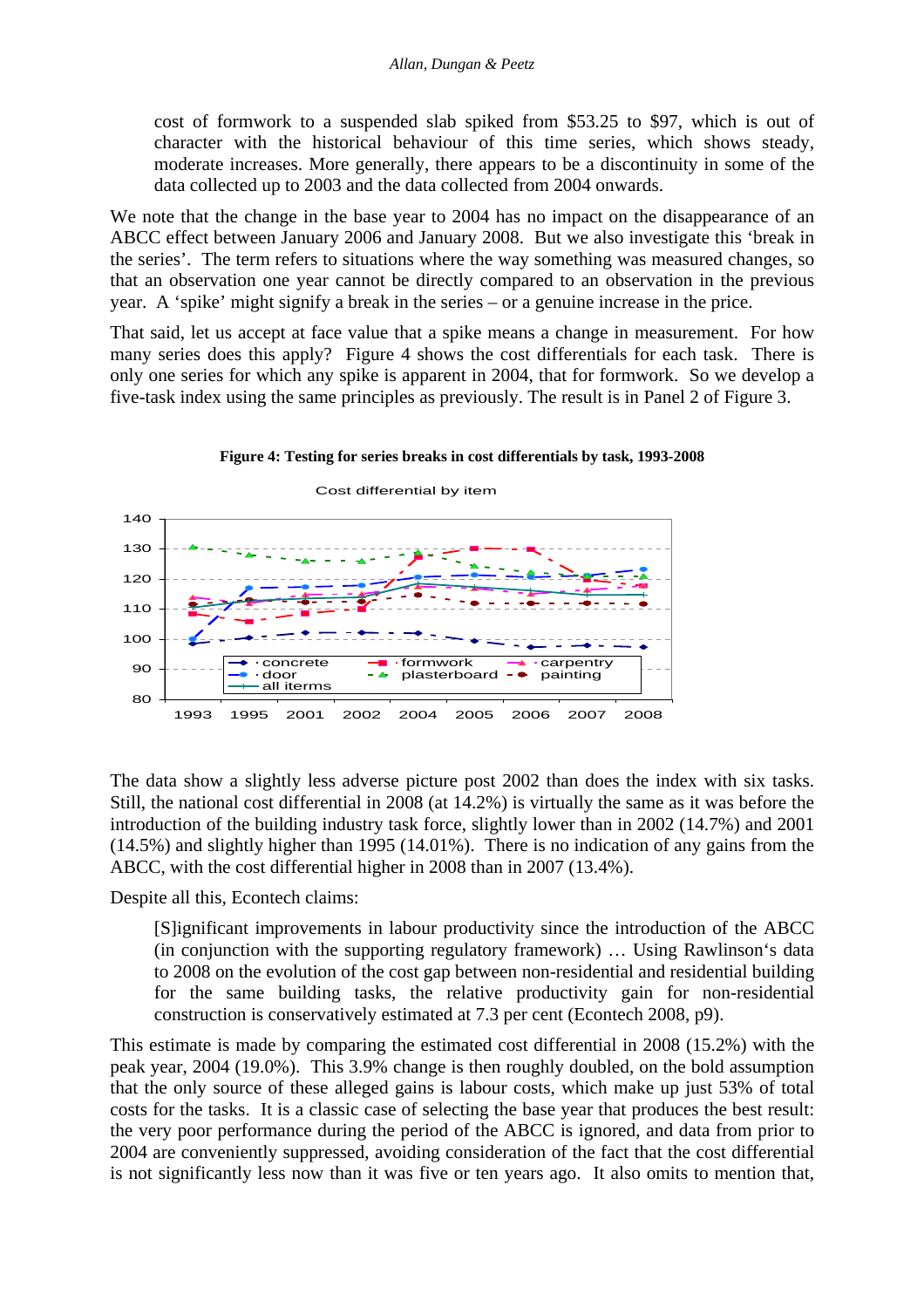cost of formwork to a suspended slab spiked from \$53.25 to \$97, which is out of character with the historical behaviour of this time series, which shows steady, moderate increases. More generally, there appears to be a discontinuity in some of the data collected up to 2003 and the data collected from 2004 onwards.

We note that the change in the base year to 2004 has no impact on the disappearance of an ABCC effect between January 2006 and January 2008. But we also investigate this 'break in the series'. The term refers to situations where the way something was measured changes, so that an observation one year cannot be directly compared to an observation in the previous year. A 'spike' might signify a break in the series – or a genuine increase in the price.

That said, let us accept at face value that a spike means a change in measurement. For how many series does this apply? Figure 4 shows the cost differentials for each task. There is only one series for which any spike is apparent in 2004, that for formwork. So we develop a five-task index using the same principles as previously. The result is in Panel 2 of Figure 3.



 $80$ 90 100 110 120 130 140 1993 1995 2001 2002 2004 2005 2006 2007 2008 concrete  $\begin{array}{ccc} -\blacksquare & \cdot$  formwork  $\longrightarrow & \cdot$  carpentry door plasterboard all iterms

Cost differential by item

The data show a slightly less adverse picture post 2002 than does the index with six tasks. Still, the national cost differential in 2008 (at 14.2%) is virtually the same as it was before the introduction of the building industry task force, slightly lower than in 2002 (14.7%) and 2001 (14.5%) and slightly higher than 1995 (14.01%). There is no indication of any gains from the ABCC, with the cost differential higher in 2008 than in 2007 (13.4%).

Despite all this, Econtech claims:

[S]ignificant improvements in labour productivity since the introduction of the ABCC (in conjunction with the supporting regulatory framework) … Using Rawlinson's data to 2008 on the evolution of the cost gap between non-residential and residential building for the same building tasks, the relative productivity gain for non-residential construction is conservatively estimated at 7.3 per cent (Econtech 2008, p9).

This estimate is made by comparing the estimated cost differential in 2008 (15.2%) with the peak year, 2004 (19.0%). This 3.9% change is then roughly doubled, on the bold assumption that the only source of these alleged gains is labour costs, which make up just 53% of total costs for the tasks. It is a classic case of selecting the base year that produces the best result: the very poor performance during the period of the ABCC is ignored, and data from prior to 2004 are conveniently suppressed, avoiding consideration of the fact that the cost differential is not significantly less now than it was five or ten years ago. It also omits to mention that,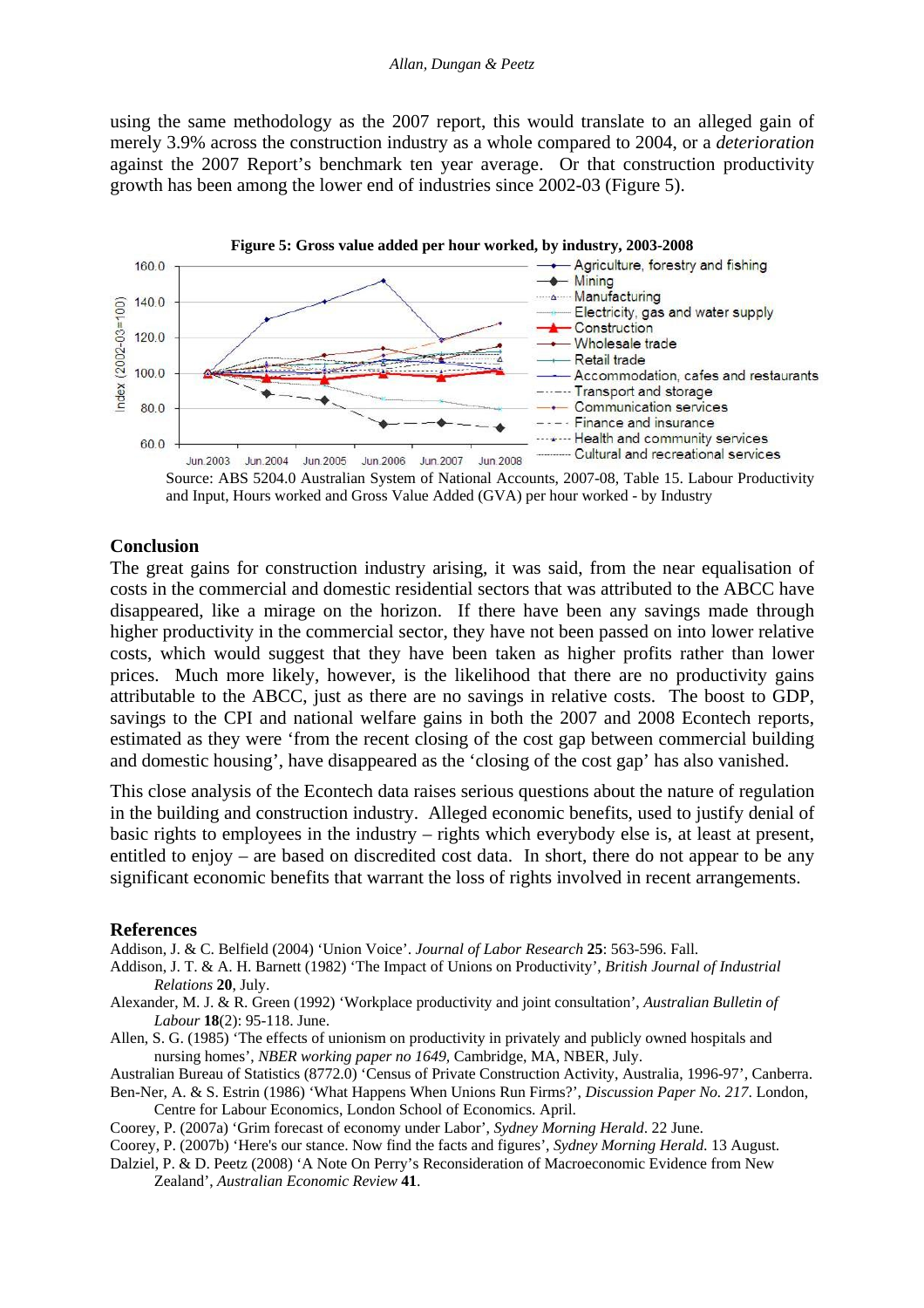using the same methodology as the 2007 report, this would translate to an alleged gain of merely 3.9% across the construction industry as a whole compared to 2004, or a *deterioration* against the 2007 Report's benchmark ten year average. Or that construction productivity growth has been among the lower end of industries since 2002-03 (Figure 5).





#### **Conclusion**

The great gains for construction industry arising, it was said, from the near equalisation of costs in the commercial and domestic residential sectors that was attributed to the ABCC have disappeared, like a mirage on the horizon. If there have been any savings made through higher productivity in the commercial sector, they have not been passed on into lower relative costs, which would suggest that they have been taken as higher profits rather than lower prices. Much more likely, however, is the likelihood that there are no productivity gains attributable to the ABCC, just as there are no savings in relative costs. The boost to GDP, savings to the CPI and national welfare gains in both the 2007 and 2008 Econtech reports, estimated as they were 'from the recent closing of the cost gap between commercial building and domestic housing', have disappeared as the 'closing of the cost gap' has also vanished.

This close analysis of the Econtech data raises serious questions about the nature of regulation in the building and construction industry. Alleged economic benefits, used to justify denial of basic rights to employees in the industry – rights which everybody else is, at least at present, entitled to enjoy – are based on discredited cost data. In short, there do not appear to be any significant economic benefits that warrant the loss of rights involved in recent arrangements.

#### **References**

Addison, J. & C. Belfield (2004) 'Union Voice'. *Journal of Labor Research* **25**: 563-596. Fall.

Addison, J. T. & A. H. Barnett (1982) 'The Impact of Unions on Productivity', *British Journal of Industrial Relations* **20**, July.

- Alexander, M. J. & R. Green (1992) 'Workplace productivity and joint consultation', *Australian Bulletin of Labour* **18**(2): 95-118. June.
- Allen, S. G. (1985) 'The effects of unionism on productivity in privately and publicly owned hospitals and nursing homes', *NBER working paper no 1649,* Cambridge, MA, NBER, July.

Australian Bureau of Statistics (8772.0) 'Census of Private Construction Activity, Australia, 1996-97', Canberra. Ben-Ner, A. & S. Estrin (1986) 'What Happens When Unions Run Firms?', *Discussion Paper No. 217*. London,

Centre for Labour Economics, London School of Economics. April.

Coorey, P. (2007a) 'Grim forecast of economy under Labor', *Sydney Morning Herald*. 22 June.

Coorey, P. (2007b) 'Here's our stance. Now find the facts and figures', *Sydney Morning Herald*. 13 August.

Dalziel, P. & D. Peetz (2008) 'A Note On Perry's Reconsideration of Macroeconomic Evidence from New Zealand', *Australian Economic Review* **41**.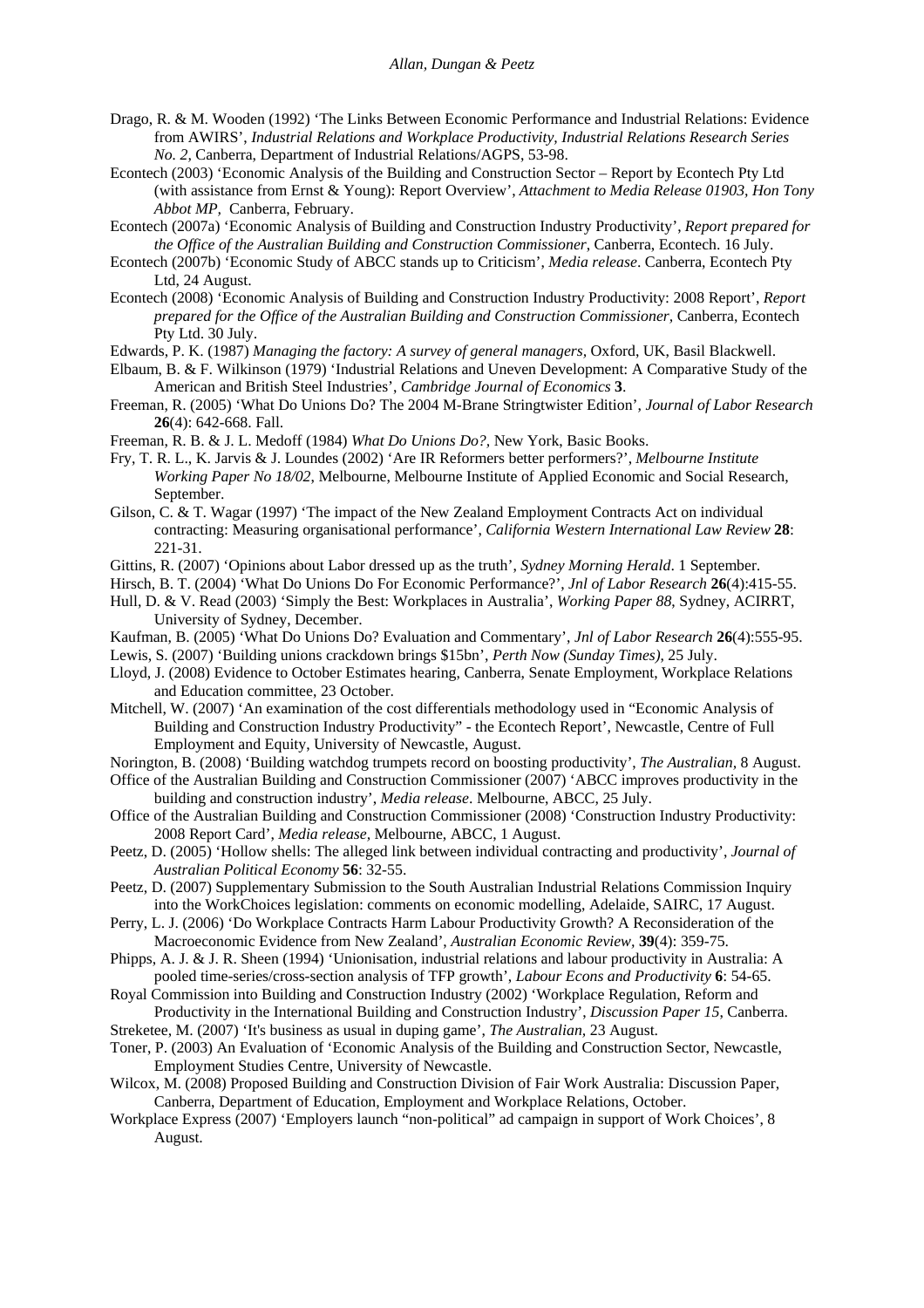- Drago, R. & M. Wooden (1992) 'The Links Between Economic Performance and Industrial Relations: Evidence from AWIRS', *Industrial Relations and Workplace Productivity, Industrial Relations Research Series No. 2,* Canberra, Department of Industrial Relations/AGPS, 53-98.
- Econtech (2003) 'Economic Analysis of the Building and Construction Sector Report by Econtech Pty Ltd (with assistance from Ernst & Young): Report Overview', *Attachment to Media Release 01903, Hon Tony Abbot MP,* Canberra, February.
- Econtech (2007a) 'Economic Analysis of Building and Construction Industry Productivity', *Report prepared for the Office of the Australian Building and Construction Commissioner*, Canberra, Econtech. 16 July.
- Econtech (2007b) 'Economic Study of ABCC stands up to Criticism', *Media release*. Canberra, Econtech Pty Ltd, 24 August.
- Econtech (2008) 'Economic Analysis of Building and Construction Industry Productivity: 2008 Report', *Report prepared for the Office of the Australian Building and Construction Commissioner,* Canberra, Econtech Pty Ltd. 30 July.
- Edwards, P. K. (1987) *Managing the factory: A survey of general managers,* Oxford, UK, Basil Blackwell.
- Elbaum, B. & F. Wilkinson (1979) 'Industrial Relations and Uneven Development: A Comparative Study of the American and British Steel Industries', *Cambridge Journal of Economics* **3**.
- Freeman, R. (2005) 'What Do Unions Do? The 2004 M-Brane Stringtwister Edition', *Journal of Labor Research* **26**(4): 642-668. Fall.
- Freeman, R. B. & J. L. Medoff (1984) *What Do Unions Do?,* New York, Basic Books.
- Fry, T. R. L., K. Jarvis & J. Loundes (2002) 'Are IR Reformers better performers?', *Melbourne Institute Working Paper No 18/02*, Melbourne, Melbourne Institute of Applied Economic and Social Research, September.
- Gilson, C. & T. Wagar (1997) 'The impact of the New Zealand Employment Contracts Act on individual contracting: Measuring organisational performance', *California Western International Law Review* **28**: 221-31.
- Gittins, R. (2007) 'Opinions about Labor dressed up as the truth', *Sydney Morning Herald*. 1 September.
- Hirsch, B. T. (2004) 'What Do Unions Do For Economic Performance?', *Jnl of Labor Research* **26**(4):415-55.
- Hull, D. & V. Read (2003) 'Simply the Best: Workplaces in Australia', *Working Paper 88*, Sydney, ACIRRT, University of Sydney, December.
- Kaufman, B. (2005) 'What Do Unions Do? Evaluation and Commentary', *Jnl of Labor Research* **26**(4):555-95.
- Lewis, S. (2007) 'Building unions crackdown brings \$15bn', *Perth Now (Sunday Times)*, 25 July.
- Lloyd, J. (2008) Evidence to October Estimates hearing, Canberra, Senate Employment, Workplace Relations and Education committee, 23 October.
- Mitchell, W. (2007) 'An examination of the cost differentials methodology used in "Economic Analysis of Building and Construction Industry Productivity" - the Econtech Report', Newcastle, Centre of Full Employment and Equity, University of Newcastle, August.
- Norington, B. (2008) 'Building watchdog trumpets record on boosting productivity', *The Australian,* 8 August.
- Office of the Australian Building and Construction Commissioner (2007) 'ABCC improves productivity in the building and construction industry', *Media release*. Melbourne, ABCC, 25 July.
- Office of the Australian Building and Construction Commissioner (2008) 'Construction Industry Productivity: 2008 Report Card', *Media release,* Melbourne, ABCC, 1 August.
- Peetz, D. (2005) 'Hollow shells: The alleged link between individual contracting and productivity', *Journal of Australian Political Economy* **56**: 32-55.
- Peetz, D. (2007) Supplementary Submission to the South Australian Industrial Relations Commission Inquiry into the WorkChoices legislation: comments on economic modelling, Adelaide, SAIRC, 17 August.
- Perry, L. J. (2006) 'Do Workplace Contracts Harm Labour Productivity Growth? A Reconsideration of the Macroeconomic Evidence from New Zealand', *Australian Economic Review,* **39**(4): 359-75.
- Phipps, A. J. & J. R. Sheen (1994) 'Unionisation, industrial relations and labour productivity in Australia: A pooled time-series/cross-section analysis of TFP growth', *Labour Econs and Productivity* **6**: 54-65.
- Royal Commission into Building and Construction Industry (2002) 'Workplace Regulation, Reform and Productivity in the International Building and Construction Industry', *Discussion Paper 15*, Canberra.
- Streketee, M. (2007) 'It's business as usual in duping game', *The Australian,* 23 August.
- Toner, P. (2003) An Evaluation of 'Economic Analysis of the Building and Construction Sector, Newcastle, Employment Studies Centre, University of Newcastle.
- Wilcox, M. (2008) Proposed Building and Construction Division of Fair Work Australia: Discussion Paper, Canberra, Department of Education, Employment and Workplace Relations, October.
- Workplace Express (2007) 'Employers launch "non-political" ad campaign in support of Work Choices', 8 August.